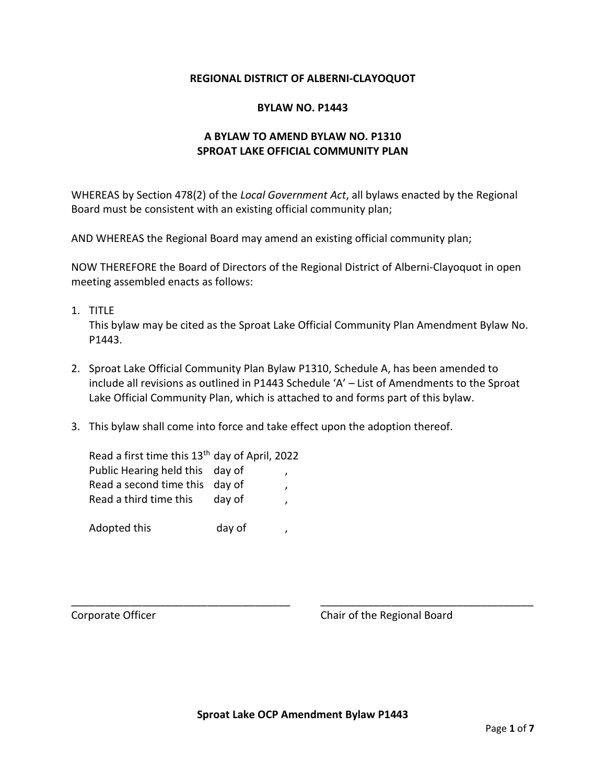### **REGIONAL DISTRICT OF ALBERNI-CLAYOQUOT**

#### **BYLAW NO. P1443**

## **A BYLAW TO AMEND BYLAW NO. P1310 SPROAT LAKE OFFICIAL COMMUNITY PLAN**

WHEREAS by Section 478(2) of the *Local Government Act*, all bylaws enacted by the Regional Board must be consistent with an existing official community plan;

AND WHEREAS the Regional Board may amend an existing official community plan;

NOW THEREFORE the Board of Directors of the Regional District of Alberni-Clayoquot in open meeting assembled enacts as follows:

1. TITLE

This bylaw may be cited as the Sproat Lake Official Community Plan Amendment Bylaw No. P1443.

- 2. Sproat Lake Official Community Plan Bylaw P1310, Schedule A, has been amended to include all revisions as outlined in P1443 Schedule 'A' – List of Amendments to the Sproat Lake Official Community Plan, which is attached to and forms part of this bylaw.
- 3. This bylaw shall come into force and take effect upon the adoption thereof.

| Read a first time this 13 <sup>th</sup> day of April, 2022 |        |   |
|------------------------------------------------------------|--------|---|
| Public Hearing held this day of                            |        |   |
| Read a second time this day of                             |        |   |
| Read a third time this                                     | day of | , |
|                                                            |        |   |
| Adopted this                                               | day of |   |

Corporate Officer Corporate Officer Corporate Officer

\_\_\_\_\_\_\_\_\_\_\_\_\_\_\_\_\_\_\_\_\_\_\_\_\_\_\_\_\_\_\_\_\_\_\_\_\_ \_\_\_\_\_\_\_\_\_\_\_\_\_\_\_\_\_\_\_\_\_\_\_\_\_\_\_\_\_\_\_\_\_\_\_\_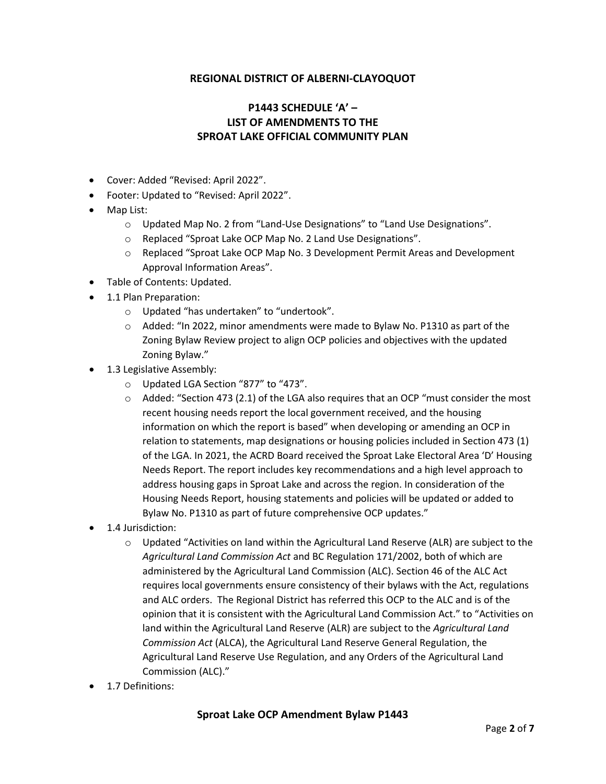## **REGIONAL DISTRICT OF ALBERNI-CLAYOQUOT**

# **P1443 SCHEDULE 'A' – LIST OF AMENDMENTS TO THE SPROAT LAKE OFFICIAL COMMUNITY PLAN**

- Cover: Added "Revised: April 2022".
- Footer: Updated to "Revised: April 2022".
- Map List:
	- o Updated Map No. 2 from "Land-Use Designations" to "Land Use Designations".
	- o Replaced "Sproat Lake OCP Map No. 2 Land Use Designations".
	- o Replaced "Sproat Lake OCP Map No. 3 Development Permit Areas and Development Approval Information Areas".
- Table of Contents: Updated.
- 1.1 Plan Preparation:
	- o Updated "has undertaken" to "undertook".
	- $\circ$  Added: "In 2022, minor amendments were made to Bylaw No. P1310 as part of the Zoning Bylaw Review project to align OCP policies and objectives with the updated Zoning Bylaw."
- 1.3 Legislative Assembly:
	- o Updated LGA Section "877" to "473".
	- $\circ$  Added: "Section 473 (2.1) of the LGA also requires that an OCP "must consider the most recent housing needs report the local government received, and the housing information on which the report is based" when developing or amending an OCP in relation to statements, map designations or housing policies included in Section 473 (1) of the LGA. In 2021, the ACRD Board received the Sproat Lake Electoral Area 'D' Housing Needs Report. The report includes key recommendations and a high level approach to address housing gaps in Sproat Lake and across the region. In consideration of the Housing Needs Report, housing statements and policies will be updated or added to Bylaw No. P1310 as part of future comprehensive OCP updates."
- 1.4 Jurisdiction:
	- o Updated "Activities on land within the Agricultural Land Reserve (ALR) are subject to the *Agricultural Land Commission Act* and BC Regulation 171/2002, both of which are administered by the Agricultural Land Commission (ALC). Section 46 of the ALC Act requires local governments ensure consistency of their bylaws with the Act, regulations and ALC orders. The Regional District has referred this OCP to the ALC and is of the opinion that it is consistent with the Agricultural Land Commission Act." to "Activities on land within the Agricultural Land Reserve (ALR) are subject to the *Agricultural Land Commission Act* (ALCA), the Agricultural Land Reserve General Regulation, the Agricultural Land Reserve Use Regulation, and any Orders of the Agricultural Land Commission (ALC)."
- 1.7 Definitions: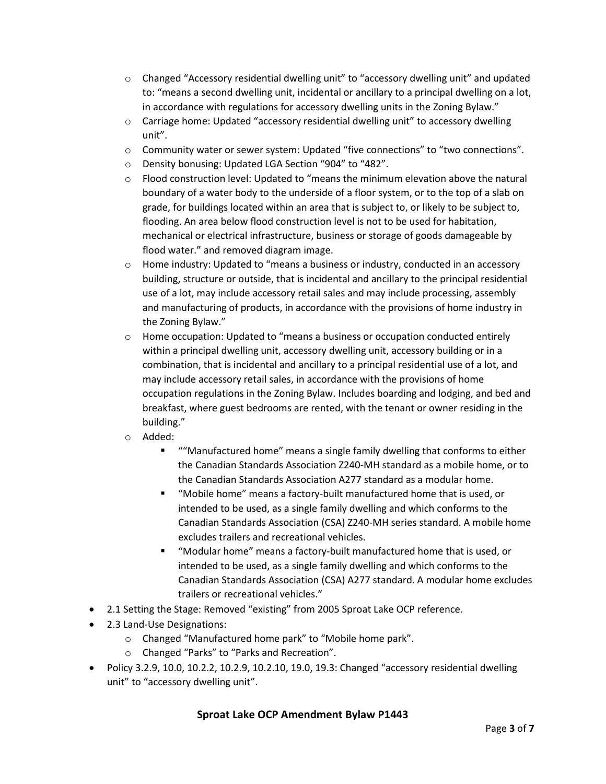- o Changed "Accessory residential dwelling unit" to "accessory dwelling unit" and updated to: "means a second dwelling unit, incidental or ancillary to a principal dwelling on a lot, in accordance with regulations for accessory dwelling units in the Zoning Bylaw."
- $\circ$  Carriage home: Updated "accessory residential dwelling unit" to accessory dwelling unit".
- o Community water or sewer system: Updated "five connections" to "two connections".
- o Density bonusing: Updated LGA Section "904" to "482".
- $\circ$  Flood construction level: Updated to "means the minimum elevation above the natural boundary of a water body to the underside of a floor system, or to the top of a slab on grade, for buildings located within an area that is subject to, or likely to be subject to, flooding. An area below flood construction level is not to be used for habitation, mechanical or electrical infrastructure, business or storage of goods damageable by flood water." and removed diagram image.
- $\circ$  Home industry: Updated to "means a business or industry, conducted in an accessory building, structure or outside, that is incidental and ancillary to the principal residential use of a lot, may include accessory retail sales and may include processing, assembly and manufacturing of products, in accordance with the provisions of home industry in the Zoning Bylaw."
- $\circ$  Home occupation: Updated to "means a business or occupation conducted entirely within a principal dwelling unit, accessory dwelling unit, accessory building or in a combination, that is incidental and ancillary to a principal residential use of a lot, and may include accessory retail sales, in accordance with the provisions of home occupation regulations in the Zoning Bylaw. Includes boarding and lodging, and bed and breakfast, where guest bedrooms are rented, with the tenant or owner residing in the building."
- o Added:
	- ""Manufactured home" means a single family dwelling that conforms to either the Canadian Standards Association Z240-MH standard as a mobile home, or to the Canadian Standards Association A277 standard as a modular home.
	- "Mobile home" means a factory-built manufactured home that is used, or intended to be used, as a single family dwelling and which conforms to the Canadian Standards Association (CSA) Z240-MH series standard. A mobile home excludes trailers and recreational vehicles.
	- "Modular home" means a factory-built manufactured home that is used, or intended to be used, as a single family dwelling and which conforms to the Canadian Standards Association (CSA) A277 standard. A modular home excludes trailers or recreational vehicles."
- 2.1 Setting the Stage: Removed "existing" from 2005 Sproat Lake OCP reference.
- 2.3 Land-Use Designations:
	- o Changed "Manufactured home park" to "Mobile home park".
	- o Changed "Parks" to "Parks and Recreation".
- Policy 3.2.9, 10.0, 10.2.2, 10.2.9, 10.2.10, 19.0, 19.3: Changed "accessory residential dwelling unit" to "accessory dwelling unit".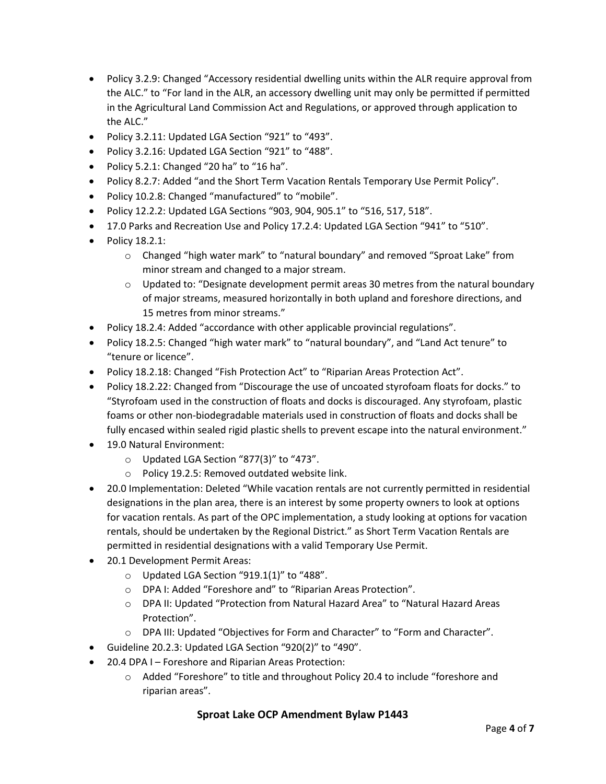- Policy 3.2.9: Changed "Accessory residential dwelling units within the ALR require approval from the ALC." to "For land in the ALR, an accessory dwelling unit may only be permitted if permitted in the Agricultural Land Commission Act and Regulations, or approved through application to the ALC."
- Policy 3.2.11: Updated LGA Section "921" to "493".
- Policy 3.2.16: Updated LGA Section "921" to "488".
- Policy 5.2.1: Changed "20 ha" to "16 ha".
- Policy 8.2.7: Added "and the Short Term Vacation Rentals Temporary Use Permit Policy".
- Policy 10.2.8: Changed "manufactured" to "mobile".
- Policy 12.2.2: Updated LGA Sections "903, 904, 905.1" to "516, 517, 518".
- 17.0 Parks and Recreation Use and Policy 17.2.4: Updated LGA Section "941" to "510".
- Policy 18.2.1:
	- o Changed "high water mark" to "natural boundary" and removed "Sproat Lake" from minor stream and changed to a major stream.
	- $\circ$  Updated to: "Designate development permit areas 30 metres from the natural boundary of major streams, measured horizontally in both upland and foreshore directions, and 15 metres from minor streams."
- Policy 18.2.4: Added "accordance with other applicable provincial regulations".
- Policy 18.2.5: Changed "high water mark" to "natural boundary", and "Land Act tenure" to "tenure or licence".
- Policy 18.2.18: Changed "Fish Protection Act" to "Riparian Areas Protection Act".
- Policy 18.2.22: Changed from "Discourage the use of uncoated styrofoam floats for docks." to "Styrofoam used in the construction of floats and docks is discouraged. Any styrofoam, plastic foams or other non-biodegradable materials used in construction of floats and docks shall be fully encased within sealed rigid plastic shells to prevent escape into the natural environment."
- 19.0 Natural Environment:
	- o Updated LGA Section "877(3)" to "473".
	- o Policy 19.2.5: Removed outdated website link.
- 20.0 Implementation: Deleted "While vacation rentals are not currently permitted in residential designations in the plan area, there is an interest by some property owners to look at options for vacation rentals. As part of the OPC implementation, a study looking at options for vacation rentals, should be undertaken by the Regional District." as Short Term Vacation Rentals are permitted in residential designations with a valid Temporary Use Permit.
- 20.1 Development Permit Areas:
	- o Updated LGA Section "919.1(1)" to "488".
	- o DPA I: Added "Foreshore and" to "Riparian Areas Protection".
	- o DPA II: Updated "Protection from Natural Hazard Area" to "Natural Hazard Areas Protection".
	- o DPA III: Updated "Objectives for Form and Character" to "Form and Character".
- Guideline 20.2.3: Updated LGA Section "920(2)" to "490".
- 20.4 DPA I Foreshore and Riparian Areas Protection:
	- $\circ$  Added "Foreshore" to title and throughout Policy 20.4 to include "foreshore and riparian areas".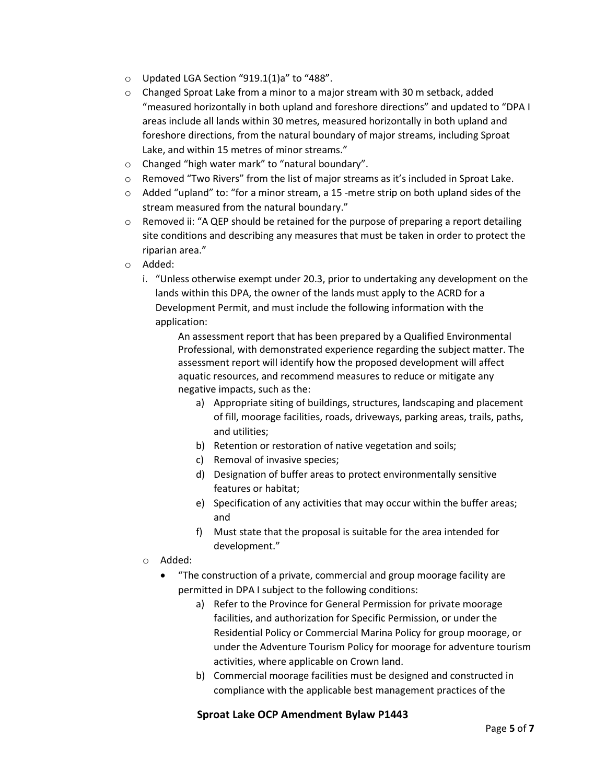- o Updated LGA Section "919.1(1)a" to "488".
- o Changed Sproat Lake from a minor to a major stream with 30 m setback, added "measured horizontally in both upland and foreshore directions" and updated to "DPA I areas include all lands within 30 metres, measured horizontally in both upland and foreshore directions, from the natural boundary of major streams, including Sproat Lake, and within 15 metres of minor streams."
- o Changed "high water mark" to "natural boundary".
- $\circ$  Removed "Two Rivers" from the list of major streams as it's included in Sproat Lake.
- $\circ$  Added "upland" to: "for a minor stream, a 15 -metre strip on both upland sides of the stream measured from the natural boundary."
- $\circ$  Removed ii: "A QEP should be retained for the purpose of preparing a report detailing site conditions and describing any measures that must be taken in order to protect the riparian area."
- o Added:
	- i. "Unless otherwise exempt under 20.3, prior to undertaking any development on the lands within this DPA, the owner of the lands must apply to the ACRD for a Development Permit, and must include the following information with the application:

An assessment report that has been prepared by a Qualified Environmental Professional, with demonstrated experience regarding the subject matter. The assessment report will identify how the proposed development will affect aquatic resources, and recommend measures to reduce or mitigate any negative impacts, such as the:

- a) Appropriate siting of buildings, structures, landscaping and placement of fill, moorage facilities, roads, driveways, parking areas, trails, paths, and utilities;
- b) Retention or restoration of native vegetation and soils;
- c) Removal of invasive species;
- d) Designation of buffer areas to protect environmentally sensitive features or habitat;
- e) Specification of any activities that may occur within the buffer areas; and
- f) Must state that the proposal is suitable for the area intended for development."
- o Added:
	- "The construction of a private, commercial and group moorage facility are permitted in DPA I subject to the following conditions:
		- a) Refer to the Province for General Permission for private moorage facilities, and authorization for Specific Permission, or under the Residential Policy or Commercial Marina Policy for group moorage, or under the Adventure Tourism Policy for moorage for adventure tourism activities, where applicable on Crown land.
		- b) Commercial moorage facilities must be designed and constructed in compliance with the applicable best management practices of the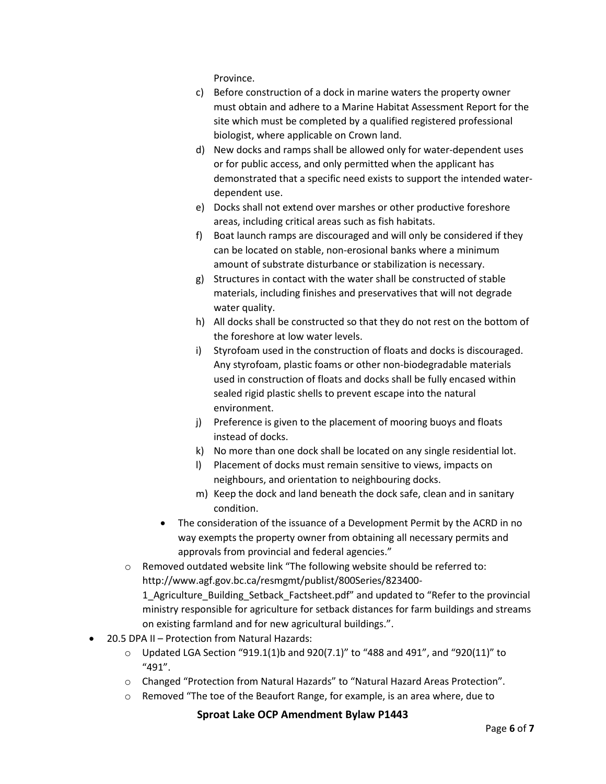Province.

- c) Before construction of a dock in marine waters the property owner must obtain and adhere to a Marine Habitat Assessment Report for the site which must be completed by a qualified registered professional biologist, where applicable on Crown land.
- d) New docks and ramps shall be allowed only for water-dependent uses or for public access, and only permitted when the applicant has demonstrated that a specific need exists to support the intended waterdependent use.
- e) Docks shall not extend over marshes or other productive foreshore areas, including critical areas such as fish habitats.
- f) Boat launch ramps are discouraged and will only be considered if they can be located on stable, non-erosional banks where a minimum amount of substrate disturbance or stabilization is necessary.
- g) Structures in contact with the water shall be constructed of stable materials, including finishes and preservatives that will not degrade water quality.
- h) All docks shall be constructed so that they do not rest on the bottom of the foreshore at low water levels.
- i) Styrofoam used in the construction of floats and docks is discouraged. Any styrofoam, plastic foams or other non-biodegradable materials used in construction of floats and docks shall be fully encased within sealed rigid plastic shells to prevent escape into the natural environment.
- j) Preference is given to the placement of mooring buoys and floats instead of docks.
- k) No more than one dock shall be located on any single residential lot.
- l) Placement of docks must remain sensitive to views, impacts on neighbours, and orientation to neighbouring docks.
- m) Keep the dock and land beneath the dock safe, clean and in sanitary condition.
- The consideration of the issuance of a Development Permit by the ACRD in no way exempts the property owner from obtaining all necessary permits and approvals from provincial and federal agencies."
- o Removed outdated website link "The following website should be referred to: http://www.agf.gov.bc.ca/resmgmt/publist/800Series/823400-

1\_Agriculture\_Building\_Setback\_Factsheet.pdf" and updated to "Refer to the provincial ministry responsible for agriculture for setback distances for farm buildings and streams on existing farmland and for new agricultural buildings.".

- 20.5 DPA II Protection from Natural Hazards:
	- $\circ$  Updated LGA Section "919.1(1)b and 920(7.1)" to "488 and 491", and "920(11)" to "491".
	- o Changed "Protection from Natural Hazards" to "Natural Hazard Areas Protection".
	- o Removed "The toe of the Beaufort Range, for example, is an area where, due to